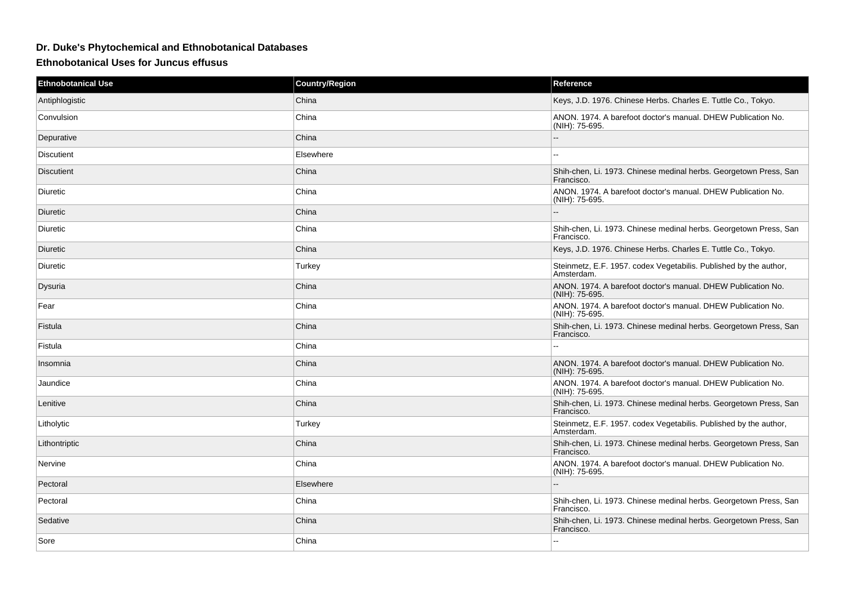## **Dr. Duke's Phytochemical and Ethnobotanical Databases**

**Ethnobotanical Uses for Juncus effusus**

| <b>Ethnobotanical Use</b> | <b>Country/Region</b> | Reference                                                                       |
|---------------------------|-----------------------|---------------------------------------------------------------------------------|
| Antiphlogistic            | China                 | Keys, J.D. 1976. Chinese Herbs. Charles E. Tuttle Co., Tokyo.                   |
| Convulsion                | China                 | ANON. 1974. A barefoot doctor's manual. DHEW Publication No.<br>(NIH): 75-695.  |
| Depurative                | China                 |                                                                                 |
| <b>Discutient</b>         | Elsewhere             | Ξ.                                                                              |
| <b>Discutient</b>         | China                 | Shih-chen, Li. 1973. Chinese medinal herbs. Georgetown Press, San<br>Francisco. |
| Diuretic                  | China                 | ANON. 1974. A barefoot doctor's manual. DHEW Publication No.<br>(NIH): 75-695.  |
| Diuretic                  | China                 |                                                                                 |
| <b>Diuretic</b>           | China                 | Shih-chen, Li. 1973. Chinese medinal herbs. Georgetown Press, San<br>Francisco. |
| Diuretic                  | China                 | Keys, J.D. 1976. Chinese Herbs. Charles E. Tuttle Co., Tokyo.                   |
| Diuretic                  | Turkey                | Steinmetz, E.F. 1957. codex Vegetabilis. Published by the author,<br>Amsterdam. |
| Dysuria                   | China                 | ANON. 1974. A barefoot doctor's manual. DHEW Publication No.<br>(NIH): 75-695.  |
| Fear                      | China                 | ANON. 1974. A barefoot doctor's manual. DHEW Publication No.<br>(NIH): 75-695.  |
| Fistula                   | China                 | Shih-chen, Li. 1973. Chinese medinal herbs. Georgetown Press, San<br>Francisco. |
| Fistula                   | China                 | $\sim$                                                                          |
| Insomnia                  | China                 | ANON. 1974. A barefoot doctor's manual. DHEW Publication No.<br>(NIH): 75-695.  |
| Jaundice                  | China                 | ANON. 1974. A barefoot doctor's manual. DHEW Publication No.<br>(NIH): 75-695.  |
| Lenitive                  | China                 | Shih-chen, Li. 1973. Chinese medinal herbs. Georgetown Press, San<br>Francisco. |
| Litholytic                | Turkey                | Steinmetz, E.F. 1957. codex Vegetabilis. Published by the author,<br>Amsterdam. |
| Lithontriptic             | China                 | Shih-chen, Li. 1973. Chinese medinal herbs. Georgetown Press, San<br>Francisco. |
| Nervine                   | China                 | ANON. 1974. A barefoot doctor's manual. DHEW Publication No.<br>(NIH): 75-695.  |
| Pectoral                  | Elsewhere             | $\overline{a}$                                                                  |
| Pectoral                  | China                 | Shih-chen, Li. 1973. Chinese medinal herbs. Georgetown Press, San<br>Francisco. |
| Sedative                  | China                 | Shih-chen, Li. 1973. Chinese medinal herbs. Georgetown Press, San<br>Francisco. |
| Sore                      | China                 |                                                                                 |